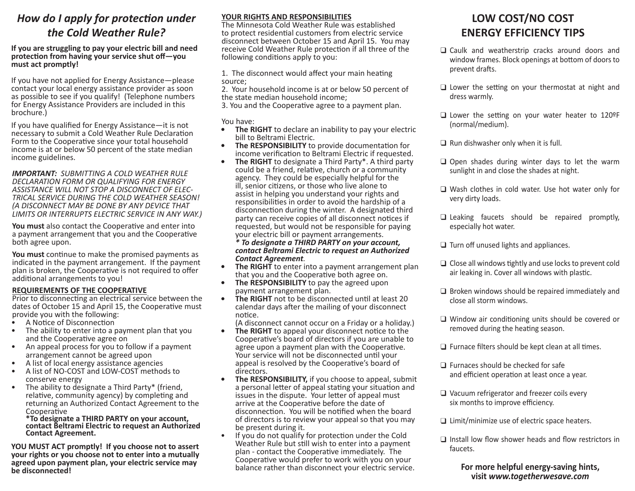## *How do I apply for protection under How do I apply for protection under the Cold Weather Rule? the Cold Weather Rule?*

#### **If you are struggling to pay your electric bill and need If you are struggling to pay your electric bill and need protection from having your service shut off—you protection from having your service shut off—you must act promptly! must act promptly!**

If you have not applied for Energy Assistance—please If you have not applied for Energy Assistance—please contact your local energy assistance provider as soon contact your local energy assistance provider as soon as possible to see if you qualify! (Telephone numbers as possible to see if you qualify! (Telephone numbers for Energy Assistance Providers are included in this for Energy Assistance Providers are included in this brochure.) brochure.)

If you have qualified for Energy Assistance—it is not If you have qualified for Energy Assistance—it is not necessary to submit a Cold Weather Rule Declaration necessary to submit a Cold Weather Rule Declaration Form to the Cooperative since your total household Form to the Cooperative since your total household income is at or below 50 percent of the state median income is at or below 50 percent of the state median income guidelines. income guidelines.

*IMPORTANT: SUBMITTING A COLD WEATHER RULE IMPORTANT: SUBMITTING A COLD WEATHER RULE DECLARATION FORM OR QUALIFYING FOR ENERGY DECLARATION FORM OR QUALIFYING FOR ENERGY ASSISTANCE WILL NOT STOP A DISCONNECT OF ELEC- TRICAL SERVICE DURING THE COLD WEATHER SEASON! ASSISTANCE WILL NOT STOP A DISCONNECT OF ELEC- TRICAL SERVICE DURING THE COLD WEATHER SEASON! (A DISCONNECT MAY BE DONE BY ANY DEVICE THAT (A DISCONNECT MAY BE DONE BY ANY DEVICE THAT LIMITS OR INTERRUPTS ELECTRIC SERVICE IN ANY WAY.) LIMITS OR INTERRUPTS ELECTRIC SERVICE IN ANY WAY.)* 

**You must** also contact the Cooperative and enter into **You must** also contact the Cooperative and enter into a payment arrangement that you and the Cooperative a payment arrangement that you and the Cooperative both agree upon. both agree upon.

**You must** continue to make the promised payments as **You must** continue to make the promised payments as indicated in the payment arrangement. If the payment indicated in the payment arrangement. If the payment plan is broken, the Cooperative is not required to offer plan is broken, the Cooperative is not required to offer additional arrangements to you! additional arrangements to you!

#### **REQUIREMENTS OF THE COOPERATIVE REQUIREMENTS OF THE COOPERATIVE**

Prior to disconnecting an electrical service between the Prior to disconnecting an electrical service between the dates of October 15 and April 15, the Cooperative must dates of October 15 and April 15, the Cooperative must provide you with the following: provide you with the following:

- 
- A Notice of Disconnection<br>• The ability to enter into a payment plan that you
- and the Cooperative agree on<br>• An appeal process for you to follow if a payment
	-
- arrangement cannot be agreed upon<br>• A list of local energy assistance agencies<br>• A list of NO-COST and LOW-COST methods to
- conserve energy The ability to designate a Third Party\* (friend, conserve energy The ability to designate a Third Party\* (friend, relative, community agency) by completing and returning an Authorized Contact Agreement to the returning an Authorized Contact Agreement to the Cooperative Cooperative

**\*To designate a THIRD PARTY on your account, \*To designate a THIRD PARTY on your account, contact Beltrami Electric to request an Authorized contact Beltrami Electric to request an Authorized Contact Agreement. Contact Agreement.** 

**YOU MUST ACT promptly! If you choose not to assert YOU MUST ACT promptly! If you choose not to assert your rights or you choose not to enter into a mutually your rights or you choose not to enter into a mutually agreed upon payment plan, your electric service may agreed upon payment plan, your electric service may be disconnected! be disconnected!** 

#### **YOUR RIGHTS AND RESPONSIBILITIES YOUR RIGHTS AND RESPONSIBILITIES**

The Minnesota Cold Weather Rule was established The Minnesota Cold Weather Rule was established to protect residential customers from electric service to protect residential customers from electric service disconnect between October 15 and April 15. You may disconnect between October 15 and April 15. You may receive Cold Weather Rule protection if all three of the following conditions apply to you: following conditions apply to you:

1. The disconnect would affect your main heating 1. The disconnect would affect your main heating source; source;

2. Your household income is at or below 50 percent of 2. Your household income is at or below 50 percent of the state median household income; the state median household income;

3. You and the Cooperative agree to a payment plan. 3. You and the Cooperative agree to a payment plan.

You have: You have:

- **• The RIGHT** to declare an inability to pay your electric **• The RIGHT** to declare an inability to pay your electric
- bill to Beltrami Electric. **• The RESPONSIBILITY** to provide documentation for bill to Beltrami Electric. **• The RESPONSIBILITY** to provide documentation for
- income verification to Beltrami Electric if requested.<br> **The RIGHT** to designate a Third Party\*. A third party could be a friend, relative, church or a community could be a friend, relative, church or a community agency. They could be especially helpful for the agency. They could be especially helpful for the ill, senior citizens, or those who live alone to ill, senior citizens, or those who live alone to assist in helping you understand your rights and assist in helping you understand your rights and responsibilities in order to avoid the hardship of a responsibilities in order to avoid the hardship of a disconnection during the winter. A designated third disconnection during the winter. A designated third party can receive copies of all disconnect notices if party can receive copies of all disconnect notices if requested, but would not be responsible for paying requested, but would not be responsible for paying your electric bill or payment arrangements. your electric bill or payment arrangements.

*\* To designate a THIRD PARTY on your account, \* To designate a THIRD PARTY on your account, contact Beltrami Electric to request an Authorized contact Beltrami Electric to request an Authorized* 

- **Contact Agreement**.<br>**•** The RIGHT to enter into a payment arrangement plan
- that you and the Cooperative both agree on.<br>**• The RESPONSIBILITY** to pay the agreed upon
- payment arrangement plan. **• The RIGHT** not to be disconnected until at least 20 payment arrangement plan. **• The RIGHT** not to be disconnected until at least 20 calendar days after the mailing of your disconnect calendar days after the mailing of your disconnect notice. notice.

(A disconnect cannot occur on a Friday or a holiday.)<br>**• The RIGHT** to appeal your disconnect notice to the

- Cooperative's board of directors if you are unable to Cooperative's board of directors if you are unable to agree upon a payment plan with the Cooperative. agree upon a payment plan with the Cooperative. Your service will not be disconnected until your Your service will not be disconnected until your appeal is resolved by the Cooperative's board of appeal is resolved by the Cooperative's board of
- directors.<br>**•** The RESPONSIBILITY, if you choose to appeal, submit a personal letter of appeal stating your situation and a personal letter of appeal stating your situation and issues in the dispute. Your letter of appeal must issues in the dispute. Your letter of appeal must arrive at the Cooperative before the date of arrive at the Cooperative before the date of disconnection. You will be notified when the board disconnection. You will be notified when the board of directors is to review your appeal so that you may of directors is to review your appeal so that you may
- be present during it.<br>• If you do not qualify for protection under the Cold Weather Rule but still wish to enter into a payment Weather Rule but still wish to enter into a payment plan - contact the Cooperative immediately. The plan - contact the Cooperative immediately. The Cooperative would prefer to work with you on your Cooperative would prefer to work with you on your balance rather than disconnect your electric service. balance rather than disconnect your electric service.

## **LOW COST/NO COST LOW COST/NO COST ENERGY EFFICIENCY TIPS ENERGY EFFICIENCY TIPS**

- Caulk and weatherstrip cracks around doors and Caulk and weatherstrip cracks around doors and window frames. Block openings at bottom of doors to window frames. Block openings at bottom of doors to prevent drafts. prevent drafts.
- Lower the setting on your thermostat at night and Lower the setting on your thermostat at night and dress warmly. dress warmly.
- Lower the setting on your water heater to 120ºF Lower the setting on your water heater to 120ºF (normal/medium). (normal/medium).
- Run dishwasher only when it is full. Run dishwasher only when it is full.
- Open shades during winter days to let the warm Open shades during winter days to let the warm sunlight in and close the shades at night. sunlight in and close the shades at night.
- Wash clothes in cold water. Use hot water only for Wash clothes in cold water. Use hot water only for very dirty loads. very dirty loads.
- Leaking faucets should be repaired promptly, Leaking faucets should be repaired promptly, especially hot water. especially hot water.
- Turn off unused lights and appliances. Turn off unused lights and appliances.
- Close all windows tightly and use locks to prevent cold Close all windows tightly and use locks to prevent cold air leaking in. Cover all windows with plastic. air leaking in. Cover all windows with plastic.
- Broken windows should be repaired immediately and Broken windows should be repaired immediately and close all storm windows. close all storm windows.
- Window air conditioning units should be covered or Window air conditioning units should be covered or removed during the heating season. removed during the heating season.
- Furnace filters should be kept clean at all times. Furnace filters should be kept clean at all times.
- Furnaces should be checked for safe Furnaces should be checked for safe and efficient operation at least once a year. and efficient operation at least once a year.
- Vacuum refrigerator and freezer coils every Vacuum refrigerator and freezer coils every six months to improve efficiency. six months to improve efficiency.
- Limit/minimize use of electric space heaters. Limit/minimize use of electric space heaters.
- Install low flow shower heads and flow restrictors in Install low flow shower heads and flow restrictors in faucets. faucets.

**For more helpful energy-saving hints, For more helpful energy-saving hints, visit** *www.togetherwesave.com* **visit** *www.togetherwesave.com*